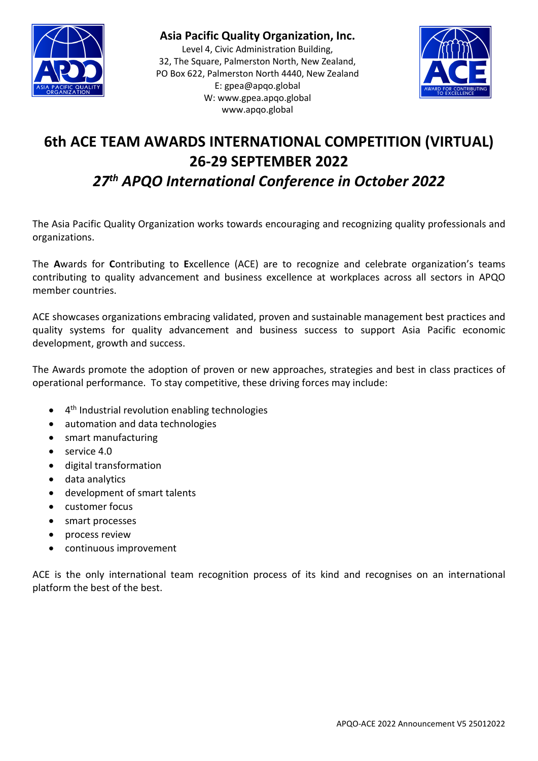

**Asia Pacific Quality Organization, Inc.**

Level 4, Civic Administration Building, 32, The Square, Palmerston North, New Zealand, PO Box 622, Palmerston North 4440, New Zealand E: [gpea@apqo.global](mailto:gpea@apqo.global) W: [www.gpea.apqo.global](http://www.gpea.apqo.global/) www.apqo.global



# **6th ACE TEAM AWARDS INTERNATIONAL COMPETITION (VIRTUAL) 26-29 SEPTEMBER 2022** *27th APQO International Conference in October 2022*

The Asia Pacific Quality Organization works towards encouraging and recognizing quality professionals and organizations.

The **A**wards for **C**ontributing to **E**xcellence (ACE) are to recognize and celebrate organization's teams contributing to quality advancement and business excellence at workplaces across all sectors in APQO member countries.

ACE showcases organizations embracing validated, proven and sustainable management best practices and quality systems for quality advancement and business success to support Asia Pacific economic development, growth and success.

The Awards promote the adoption of proven or new approaches, strategies and best in class practices of operational performance. To stay competitive, these driving forces may include:

- 4th Industrial revolution enabling technologies
- automation and data technologies
- smart manufacturing
- service 4.0
- digital transformation
- data analytics
- development of smart talents
- customer focus
- smart processes
- process review
- continuous improvement

ACE is the only international team recognition process of its kind and recognises on an international platform the best of the best.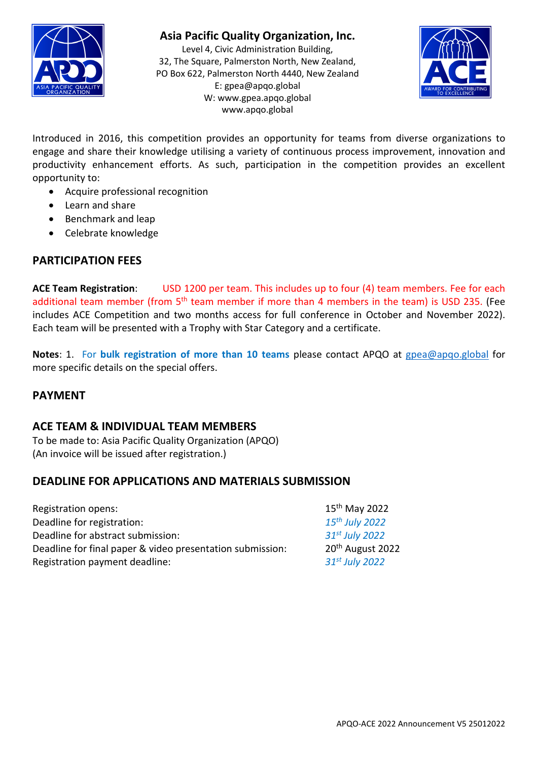

## **Asia Pacific Quality Organization, Inc.**

Level 4, Civic Administration Building, 32, The Square, Palmerston North, New Zealand, PO Box 622, Palmerston North 4440, New Zealand E: [gpea@apqo.global](mailto:gpea@apqo.global) W: [www.gpea.apqo.global](http://www.gpea.apqo.global/) www.apqo.global



Introduced in 2016, this competition provides an opportunity for teams from diverse organizations to engage and share their knowledge utilising a variety of continuous process improvement, innovation and productivity enhancement efforts. As such, participation in the competition provides an excellent opportunity to:

- Acquire professional recognition
- Learn and share
- Benchmark and leap
- Celebrate knowledge

#### **PARTICIPATION FEES**

**ACE Team Registration**: USD 1200 per team. This includes up to four (4) team members. Fee for each additional team member (from 5<sup>th</sup> team member if more than 4 members in the team) is USD 235. (Fee includes ACE Competition and two months access for full conference in October and November 2022). Each team will be presented with a Trophy with Star Category and a certificate.

**Notes**: 1. For **bulk registration of more than 10 teams** please contact APQO at [gpea@apqo.global](mailto:gpea@apqo.global) for more specific details on the special offers.

#### **PAYMENT**

#### **ACE TEAM & INDIVIDUAL TEAM MEMBERS**

To be made to: Asia Pacific Quality Organization (APQO) (An invoice will be issued after registration.)

#### **DEADLINE FOR APPLICATIONS AND MATERIALS SUBMISSION**

| Registration opens:                                       | $15th$ May 2022              |
|-----------------------------------------------------------|------------------------------|
| Deadline for registration:                                | 15 <sup>th</sup> July 2022   |
| Deadline for abstract submission:                         | 31st July 2022               |
| Deadline for final paper & video presentation submission: | 20 <sup>th</sup> August 2022 |
| Registration payment deadline:                            | 31st July 2022               |